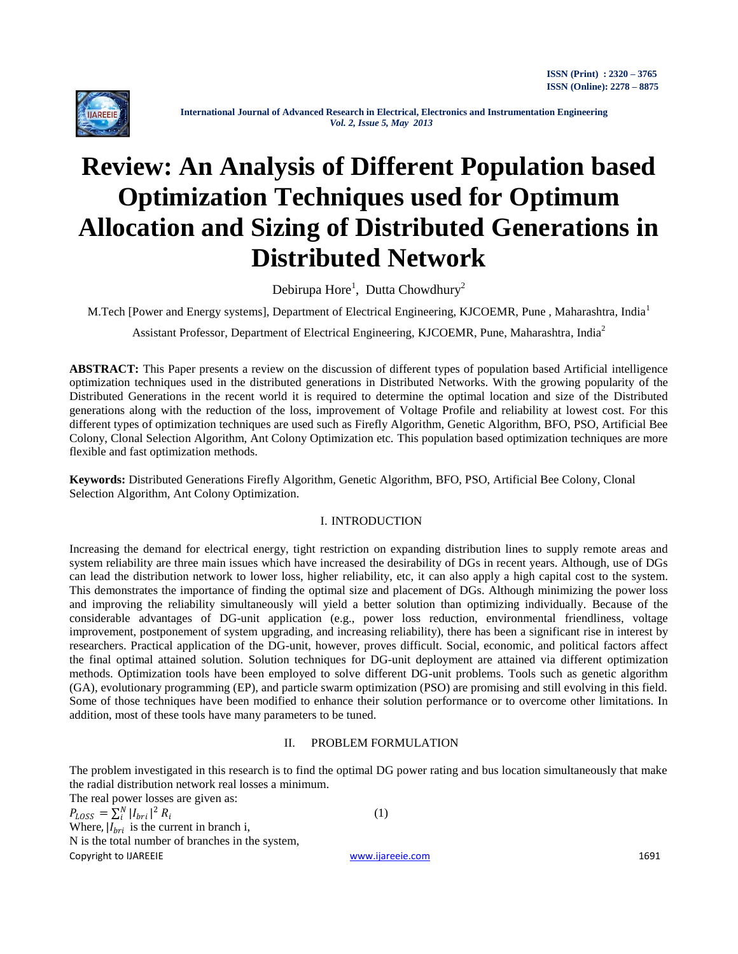

# **Review: An Analysis of Different Population based Optimization Techniques used for Optimum Allocation and Sizing of Distributed Generations in Distributed Network**

Debirupa Hore<sup>1</sup>, Dutta Chowdhury<sup>2</sup>

M.Tech [Power and Energy systems], Department of Electrical Engineering, KJCOEMR, Pune, Maharashtra, India<sup>1</sup>

Assistant Professor, Department of Electrical Engineering, KJCOEMR, Pune, Maharashtra, India<sup>2</sup>

**ABSTRACT:** This Paper presents a review on the discussion of different types of population based Artificial intelligence optimization techniques used in the distributed generations in Distributed Networks. With the growing popularity of the Distributed Generations in the recent world it is required to determine the optimal location and size of the Distributed generations along with the reduction of the loss, improvement of Voltage Profile and reliability at lowest cost. For this different types of optimization techniques are used such as Firefly Algorithm, Genetic Algorithm, BFO, PSO, Artificial Bee Colony, Clonal Selection Algorithm, Ant Colony Optimization etc. This population based optimization techniques are more flexible and fast optimization methods.

**Keywords:** Distributed Generations Firefly Algorithm, Genetic Algorithm, BFO, PSO, Artificial Bee Colony, Clonal Selection Algorithm, Ant Colony Optimization.

# I. INTRODUCTION

Increasing the demand for electrical energy, tight restriction on expanding distribution lines to supply remote areas and system reliability are three main issues which have increased the desirability of DGs in recent years. Although, use of DGs can lead the distribution network to lower loss, higher reliability, etc, it can also apply a high capital cost to the system. This demonstrates the importance of finding the optimal size and placement of DGs. Although minimizing the power loss and improving the reliability simultaneously will yield a better solution than optimizing individually. Because of the considerable advantages of DG-unit application (e.g., power loss reduction, environmental friendliness, voltage improvement, postponement of system upgrading, and increasing reliability), there has been a significant rise in interest by researchers. Practical application of the DG-unit, however, proves difficult. Social, economic, and political factors affect the final optimal attained solution. Solution techniques for DG-unit deployment are attained via different optimization methods. Optimization tools have been employed to solve different DG-unit problems. Tools such as genetic algorithm (GA), evolutionary programming (EP), and particle swarm optimization (PSO) are promising and still evolving in this field. Some of those techniques have been modified to enhance their solution performance or to overcome other limitations. In addition, most of these tools have many parameters to be tuned.

# II. PROBLEM FORMULATION

The problem investigated in this research is to find the optimal DG power rating and bus location simultaneously that make the radial distribution network real losses a minimum.

Copyright to IJAREEIE [www.ijareeie.com](http://www.ijareeie.com/) 1691 The real power losses are given as:  $P_{Loss} = \sum_{i}^{N} |I_{bri}|^2 R_i$  (1) Where,  $|I_{bri}|$  is the current in branch i, N is the total number of branches in the system,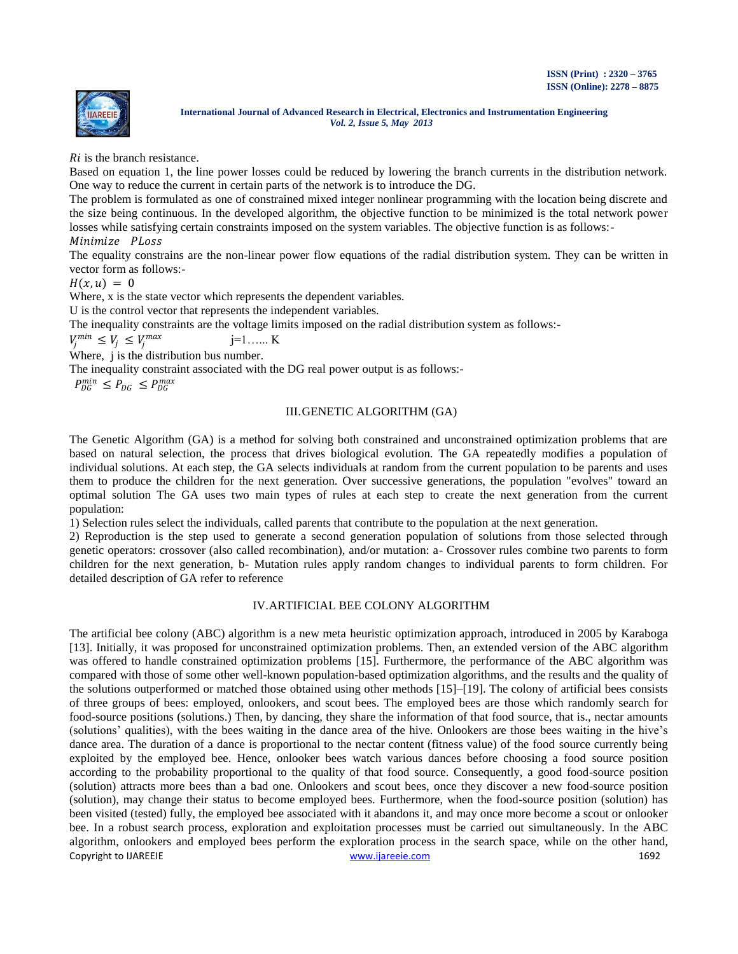

 $Ri$  is the branch resistance.

Based on equation 1, the line power losses could be reduced by lowering the branch currents in the distribution network. One way to reduce the current in certain parts of the network is to introduce the DG.

The problem is formulated as one of constrained mixed integer nonlinear programming with the location being discrete and the size being continuous. In the developed algorithm, the objective function to be minimized is the total network power losses while satisfying certain constraints imposed on the system variables. The objective function is as follows:-

Minimize PLoss

The equality constrains are the non-linear power flow equations of the radial distribution system. They can be written in vector form as follows:-

$$
H(x, u) = 0
$$

Where, x is the state vector which represents the dependent variables.

U is the control vector that represents the independent variables.

The inequality constraints are the voltage limits imposed on the radial distribution system as follows:-

 $V_j^{min} \leq V_j \leq V_j^{max}$ j=1…... K

Where, *j* is the distribution bus number.

The inequality constraint associated with the DG real power output is as follows:-

 $P_{DG}^{min} \leq P_{DG} \leq P_{DG}^{max}$ 

# III.GENETIC ALGORITHM (GA)

The Genetic Algorithm (GA) is a method for solving both constrained and unconstrained optimization problems that are based on natural selection, the process that drives biological evolution. The GA repeatedly modifies a population of individual solutions. At each step, the GA selects individuals at random from the current population to be parents and uses them to produce the children for the next generation. Over successive generations, the population "evolves" toward an optimal solution The GA uses two main types of rules at each step to create the next generation from the current population:

1) Selection rules select the individuals, called parents that contribute to the population at the next generation.

2) Reproduction is the step used to generate a second generation population of solutions from those selected through genetic operators: crossover (also called recombination), and/or mutation: a- Crossover rules combine two parents to form children for the next generation, b- Mutation rules apply random changes to individual parents to form children. For detailed description of GA refer to reference

# IV.ARTIFICIAL BEE COLONY ALGORITHM

Copyright to IJAREEIE [www.ijareeie.com](http://www.ijareeie.com/) 1692 The artificial bee colony (ABC) algorithm is a new meta heuristic optimization approach, introduced in 2005 by Karaboga [13]. Initially, it was proposed for unconstrained optimization problems. Then, an extended version of the ABC algorithm was offered to handle constrained optimization problems [15]. Furthermore, the performance of the ABC algorithm was compared with those of some other well-known population-based optimization algorithms, and the results and the quality of the solutions outperformed or matched those obtained using other methods [15]–[19]. The colony of artificial bees consists of three groups of bees: employed, onlookers, and scout bees. The employed bees are those which randomly search for food-source positions (solutions.) Then, by dancing, they share the information of that food source, that is., nectar amounts (solutions' qualities), with the bees waiting in the dance area of the hive. Onlookers are those bees waiting in the hive's dance area. The duration of a dance is proportional to the nectar content (fitness value) of the food source currently being exploited by the employed bee. Hence, onlooker bees watch various dances before choosing a food source position according to the probability proportional to the quality of that food source. Consequently, a good food-source position (solution) attracts more bees than a bad one. Onlookers and scout bees, once they discover a new food-source position (solution), may change their status to become employed bees. Furthermore, when the food-source position (solution) has been visited (tested) fully, the employed bee associated with it abandons it, and may once more become a scout or onlooker bee. In a robust search process, exploration and exploitation processes must be carried out simultaneously. In the ABC algorithm, onlookers and employed bees perform the exploration process in the search space, while on the other hand,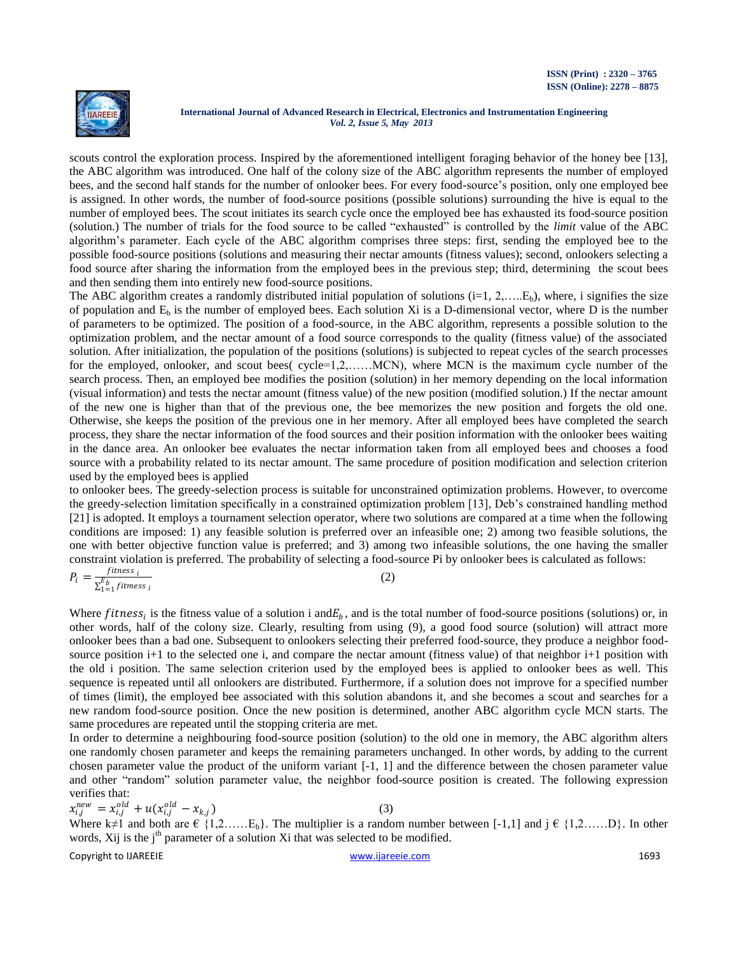

scouts control the exploration process. Inspired by the aforementioned intelligent foraging behavior of the honey bee [13], the ABC algorithm was introduced. One half of the colony size of the ABC algorithm represents the number of employed bees, and the second half stands for the number of onlooker bees. For every food-source's position, only one employed bee is assigned. In other words, the number of food-source positions (possible solutions) surrounding the hive is equal to the number of employed bees. The scout initiates its search cycle once the employed bee has exhausted its food-source position (solution.) The number of trials for the food source to be called "exhausted" is controlled by the *limit* value of the ABC algorithm's parameter. Each cycle of the ABC algorithm comprises three steps: first, sending the employed bee to the possible food-source positions (solutions and measuring their nectar amounts (fitness values); second, onlookers selecting a food source after sharing the information from the employed bees in the previous step; third, determining the scout bees and then sending them into entirely new food-source positions.

The ABC algorithm creates a randomly distributed initial population of solutions  $(i=1, 2, \ldots, E_b)$ , where, i signifies the size of population and  $E<sub>b</sub>$  is the number of employed bees. Each solution Xi is a D-dimensional vector, where D is the number of parameters to be optimized. The position of a food-source, in the ABC algorithm, represents a possible solution to the optimization problem, and the nectar amount of a food source corresponds to the quality (fitness value) of the associated solution. After initialization, the population of the positions (solutions) is subjected to repeat cycles of the search processes for the employed, onlooker, and scout bees( cycle=1,2,……MCN), where MCN is the maximum cycle number of the search process. Then, an employed bee modifies the position (solution) in her memory depending on the local information (visual information) and tests the nectar amount (fitness value) of the new position (modified solution.) If the nectar amount of the new one is higher than that of the previous one, the bee memorizes the new position and forgets the old one. Otherwise, she keeps the position of the previous one in her memory. After all employed bees have completed the search process, they share the nectar information of the food sources and their position information with the onlooker bees waiting in the dance area. An onlooker bee evaluates the nectar information taken from all employed bees and chooses a food source with a probability related to its nectar amount. The same procedure of position modification and selection criterion used by the employed bees is applied

to onlooker bees. The greedy-selection process is suitable for unconstrained optimization problems. However, to overcome the greedy-selection limitation specifically in a constrained optimization problem [13], Deb's constrained handling method [21] is adopted. It employs a tournament selection operator, where two solutions are compared at a time when the following conditions are imposed: 1) any feasible solution is preferred over an infeasible one; 2) among two feasible solutions, the one with better objective function value is preferred; and 3) among two infeasible solutions, the one having the smaller constraint violation is preferred. The probability of selecting a food-source Pi by onlooker bees is calculated as follows:  $P_i = \frac{fitness_i}{\sqrt{E_h}}$ (2)

$$
F_i - \frac{E_b}{\sum_{1=1}^{E_b} f \text{times } s_i}
$$

Where fitness<sub>i</sub> is the fitness value of a solution i and E<sub>b</sub>, and is the total number of food-source positions (solutions) or, in other words, half of the colony size. Clearly, resulting from using (9), a good food source (solution) will attract more onlooker bees than a bad one. Subsequent to onlookers selecting their preferred food-source, they produce a neighbor foodsource position i+1 to the selected one i, and compare the nectar amount (fitness value) of that neighbor i+1 position with the old i position. The same selection criterion used by the employed bees is applied to onlooker bees as well. This sequence is repeated until all onlookers are distributed. Furthermore, if a solution does not improve for a specified number of times (limit), the employed bee associated with this solution abandons it, and she becomes a scout and searches for a new random food-source position. Once the new position is determined, another ABC algorithm cycle MCN starts. The same procedures are repeated until the stopping criteria are met.

In order to determine a neighbouring food-source position (solution) to the old one in memory, the ABC algorithm alters one randomly chosen parameter and keeps the remaining parameters unchanged. In other words, by adding to the current chosen parameter value the product of the uniform variant [-1, 1] and the difference between the chosen parameter value and other "random" solution parameter value, the neighbor food-source position is created. The following expression verifies that:

 $x_{i,j}^{new} = x_{i,j}^{old} + u(x_{i,j}^{old} - x_{k,j})$  (3)

Where  $k\neq 1$  and both are  $\in \{1,2,\ldots,E_b\}$ . The multiplier is a random number between [-1,1] and  $j \in \{1,2,\ldots,D\}$ . In other words, Xij is the  $j<sup>th</sup>$  parameter of a solution Xi that was selected to be modified.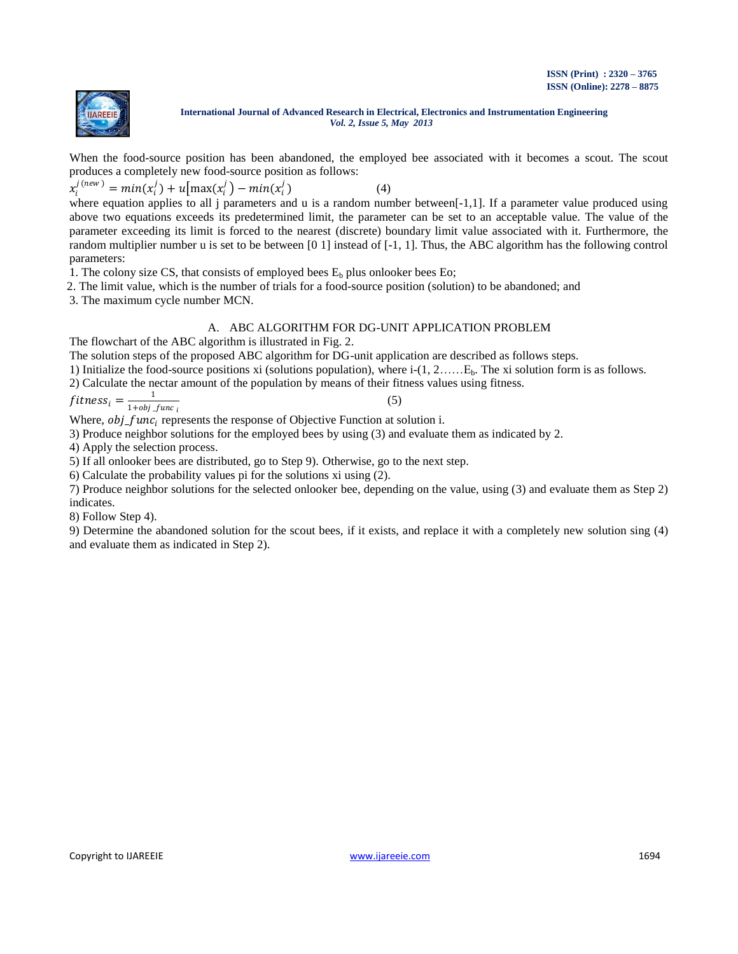

When the food-source position has been abandoned, the employed bee associated with it becomes a scout. The scout produces a completely new food-source position as follows:

 $x_i^{j(new)} = min(x_i^j) + u[\max(x_i^j) - min(x_i^j)]$  $(4)$ where equation applies to all j parameters and u is a random number between[-1,1]. If a parameter value produced using above two equations exceeds its predetermined limit, the parameter can be set to an acceptable value. The value of the parameter exceeding its limit is forced to the nearest (discrete) boundary limit value associated with it. Furthermore, the random multiplier number u is set to be between [0 1] instead of [-1, 1]. Thus, the ABC algorithm has the following control parameters:

1. The colony size CS, that consists of employed bees  $E_b$  plus onlooker bees Eo;

2. The limit value, which is the number of trials for a food-source position (solution) to be abandoned; and

3. The maximum cycle number MCN.

# A. ABC ALGORITHM FOR DG-UNIT APPLICATION PROBLEM

The flowchart of the ABC algorithm is illustrated in Fig. 2.

The solution steps of the proposed ABC algorithm for DG-unit application are described as follows steps.

1) Initialize the food-source positions xi (solutions population), where  $i$ - $(1, 2, \ldots, E_b$ . The xi solution form is as follows.

2) Calculate the nectar amount of the population by means of their fitness values using fitness.

f itness<sub>i</sub> =  $\frac{1}{1 + \alpha h^i}$  $1+ obj\_func_i$ 

 $(5)$ 

Where,  $obj\_func_i$  represents the response of Objective Function at solution i.

3) Produce neighbor solutions for the employed bees by using (3) and evaluate them as indicated by 2.

4) Apply the selection process.

5) If all onlooker bees are distributed, go to Step 9). Otherwise, go to the next step.

6) Calculate the probability values pi for the solutions xi using (2).

7) Produce neighbor solutions for the selected onlooker bee, depending on the value, using (3) and evaluate them as Step 2) indicates.

8) Follow Step 4).

9) Determine the abandoned solution for the scout bees, if it exists, and replace it with a completely new solution sing (4) and evaluate them as indicated in Step 2).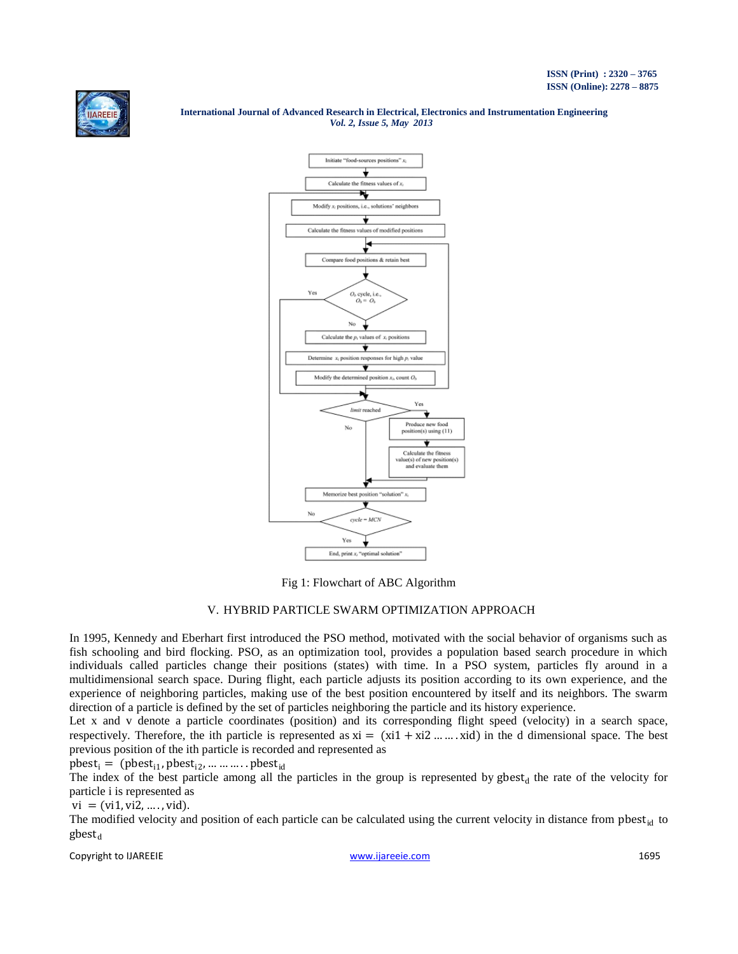



Fig 1: Flowchart of ABC Algorithm

# V. HYBRID PARTICLE SWARM OPTIMIZATION APPROACH

In 1995, Kennedy and Eberhart first introduced the PSO method, motivated with the social behavior of organisms such as fish schooling and bird flocking. PSO, as an optimization tool, provides a population based search procedure in which individuals called particles change their positions (states) with time. In a PSO system, particles fly around in a multidimensional search space. During flight, each particle adjusts its position according to its own experience, and the experience of neighboring particles, making use of the best position encountered by itself and its neighbors. The swarm direction of a particle is defined by the set of particles neighboring the particle and its history experience.

Let x and v denote a particle coordinates (position) and its corresponding flight speed (velocity) in a search space, respectively. Therefore, the ith particle is represented as  $xi = (xi1 + xi2 ... xid)$  in the d dimensional space. The best previous position of the ith particle is recorded and represented as

 $\text{pbest}_i = (\text{pbest}_{i1}, \text{pbest}_{i2}, \dots \dots \dots \text{pbest}_{id})$ 

The index of the best particle among all the particles in the group is represented by  $gbest_d$  the rate of the velocity for particle i is represented as

 $vi = (vi1, vi2, ..., vid).$ 

The modified velocity and position of each particle can be calculated using the current velocity in distance from pbest<sub>id</sub> to  $gbest<sub>d</sub>$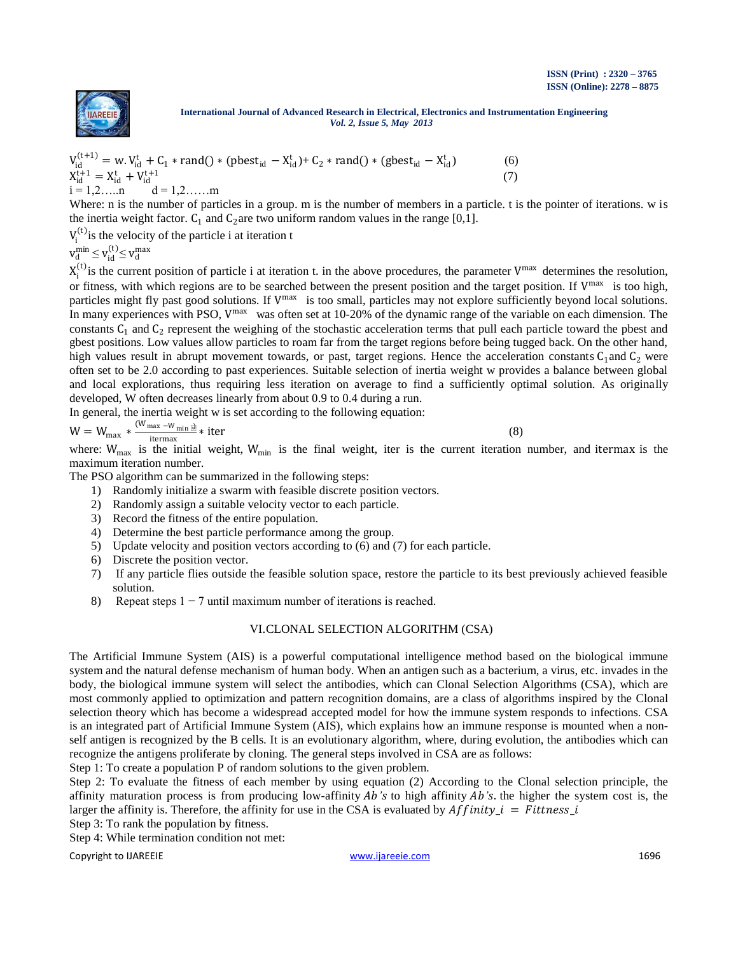

$$
V_{id}^{(t+1)} = w.V_{id}^t + C_1 * rand() * (pbest_{id} - X_{id}^t) + C_2 * rand() * (gbest_{id} - X_{id}^t)
$$
  
\n
$$
X_{id}^{t+1} = X_{id}^t + V_{id}^{t+1}
$$
  
\n
$$
i = 1, 2, ..., \quad d = 1, 2, ..., m
$$
  
\n(7)

Where: n is the number of particles in a group. m is the number of members in a particle. t is the pointer of iterations. w is the inertia weight factor.  $C_1$  and  $C_2$ are two uniform random values in the range [0,1].

 $V_i^{(t)}$  is the velocity of the particle i at iteration t

$$
v_d^{min} \le v_{id}^{(t)} \le v_d^{max}
$$

 $X_i^{(t)}$  is the current position of particle i at iteration t. in the above procedures, the parameter  $V^{max}$  determines the resolution, or fitness, with which regions are to be searched between the present position and the target position. If  $V^{max}$  is too high, particles might fly past good solutions. If V<sup>max</sup> is too small, particles may not explore sufficiently beyond local solutions. In many experiences with PSO, V<sup>max</sup> was often set at 10-20% of the dynamic range of the variable on each dimension. The constants  $C_1$  and  $C_2$  represent the weighing of the stochastic acceleration terms that pull each particle toward the pbest and gbest positions. Low values allow particles to roam far from the target regions before being tugged back. On the other hand, high values result in abrupt movement towards, or past, target regions. Hence the acceleration constants  $C_1$  and  $C_2$  were often set to be 2.0 according to past experiences. Suitable selection of inertia weight w provides a balance between global and local explorations, thus requiring less iteration on average to find a sufficiently optimal solution. As originally developed, W often decreases linearly from about 0.9 to 0.4 during a run.

In general, the inertia weight w is set according to the following equation:

$$
W = W_{\text{max}} * \frac{(W_{\text{max}} - W_{\text{min}} \underline{\phi})}{\text{itermax}} * \text{iter}
$$
\n
$$
(8)
$$

where:  $W_{max}$  is the initial weight,  $W_{min}$  is the final weight, iter is the current iteration number, and itermax is the maximum iteration number.

The PSO algorithm can be summarized in the following steps:

- 1) Randomly initialize a swarm with feasible discrete position vectors.
- 2) Randomly assign a suitable velocity vector to each particle.
- 3) Record the fitness of the entire population.
- 4) Determine the best particle performance among the group.
- 5) Update velocity and position vectors according to (6) and (7) for each particle.
- 6) Discrete the position vector.
- 7) If any particle flies outside the feasible solution space, restore the particle to its best previously achieved feasible solution.
- 8) Repeat steps  $1 7$  until maximum number of iterations is reached.

# VI.CLONAL SELECTION ALGORITHM (CSA)

The Artificial Immune System (AIS) is a powerful computational intelligence method based on the biological immune system and the natural defense mechanism of human body. When an antigen such as a bacterium, a virus, etc. invades in the body, the biological immune system will select the antibodies, which can Clonal Selection Algorithms (CSA), which are most commonly applied to optimization and pattern recognition domains, are a class of algorithms inspired by the Clonal selection theory which has become a widespread accepted model for how the immune system responds to infections. CSA is an integrated part of Artificial Immune System (AIS), which explains how an immune response is mounted when a nonself antigen is recognized by the B cells. It is an evolutionary algorithm, where, during evolution, the antibodies which can recognize the antigens proliferate by cloning. The general steps involved in CSA are as follows:

Step 1: To create a population P of random solutions to the given problem.

Step 2: To evaluate the fitness of each member by using equation (2) According to the Clonal selection principle, the affinity maturation process is from producing low-affinity *'* to high affinity *'*. the higher the system cost is, the larger the affinity is. Therefore, the affinity for use in the CSA is evaluated by  $Affinity \perp = Fittness \perp i$ 

Step 3: To rank the population by fitness.

Step 4: While termination condition not met: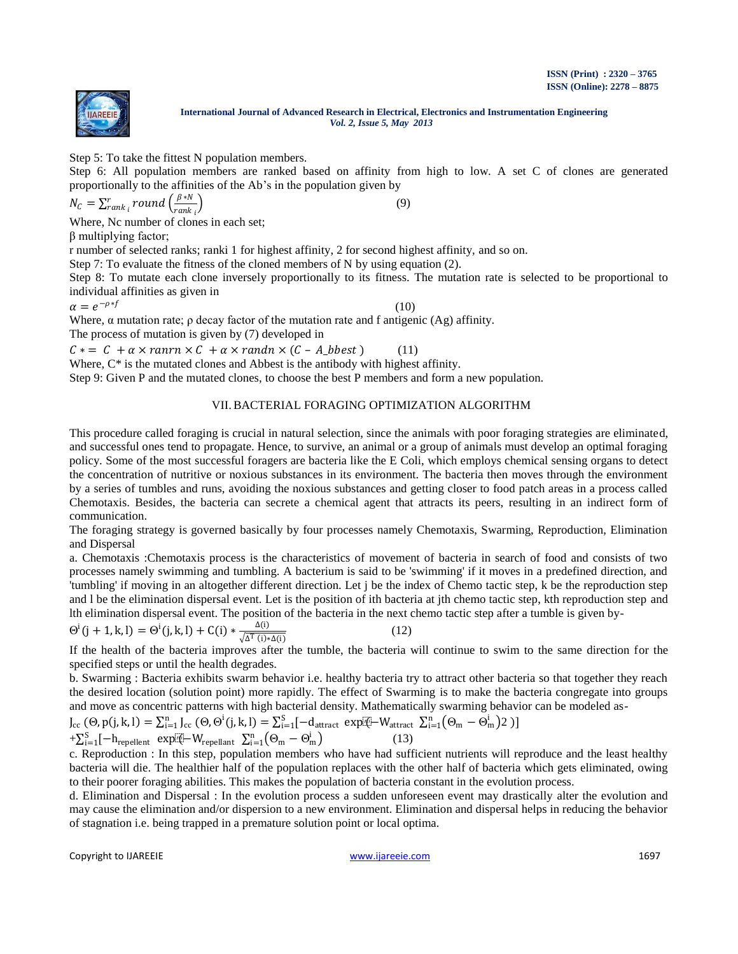

Step 5: To take the fittest N population members.

Step 6: All population members are ranked based on affinity from high to low. A set C of clones are generated proportionally to the affinities of the Ab's in the population given by

$$
N_C = \sum_{rank_i} round\left(\frac{\beta * N}{rank_i}\right) \tag{9}
$$

Where, Nc number of clones in each set;

β multiplying factor;

r number of selected ranks; ranki 1 for highest affinity, 2 for second highest affinity, and so on.

Step 7: To evaluate the fitness of the cloned members of N by using equation (2).

Step 8: To mutate each clone inversely proportionally to its fitness. The mutation rate is selected to be proportional to individual affinities as given in

$$
\alpha=e^{-\rho*f}
$$

Where, α mutation rate; ρ decay factor of the mutation rate and f antigenic (Ag) affinity.

The process of mutation is given by (7) developed in

 $C \times = C + \alpha \times \text{rann } \times C + \alpha \times \text{rand } \alpha \times (C - A_b \text{best})$  (11)

Where,  $C^*$  is the mutated clones and Abbest is the antibody with highest affinity.

Step 9: Given P and the mutated clones, to choose the best P members and form a new population.

# VII.BACTERIAL FORAGING OPTIMIZATION ALGORITHM

This procedure called foraging is crucial in natural selection, since the animals with poor foraging strategies are eliminated, and successful ones tend to propagate. Hence, to survive, an animal or a group of animals must develop an optimal foraging policy. Some of the most successful foragers are bacteria like the E Coli, which employs chemical sensing organs to detect the concentration of nutritive or noxious substances in its environment. The bacteria then moves through the environment by a series of tumbles and runs, avoiding the noxious substances and getting closer to food patch areas in a process called Chemotaxis. Besides, the bacteria can secrete a chemical agent that attracts its peers, resulting in an indirect form of communication.

The foraging strategy is governed basically by four processes namely Chemotaxis, Swarming, Reproduction, Elimination and Dispersal

a. Chemotaxis :Chemotaxis process is the characteristics of movement of bacteria in search of food and consists of two processes namely swimming and tumbling. A bacterium is said to be 'swimming' if it moves in a predefined direction, and 'tumbling' if moving in an altogether different direction. Let j be the index of Chemo tactic step, k be the reproduction step and l be the elimination dispersal event. Let is the position of ith bacteria at jth chemo tactic step, kth reproduction step and lth elimination dispersal event. The position of the bacteria in the next chemo tactic step after a tumble is given by-

$$
\Theta^{i}(j+1,k,l) = \Theta^{i}(j,k,l) + C(i) * \frac{\Delta(i)}{\sqrt{\Delta^{T}(i) * \Delta(i)}}
$$
(12)

If the health of the bacteria improves after the tumble, the bacteria will continue to swim to the same direction for the specified steps or until the health degrades.

b. Swarming : Bacteria exhibits swarm behavior i.e. healthy bacteria try to attract other bacteria so that together they reach the desired location (solution point) more rapidly. The effect of Swarming is to make the bacteria congregate into groups and move as concentric patterns with high bacterial density. Mathematically swarming behavior can be modeled as-

$$
J_{cc}(\Theta, p(j,k,l)) = \sum_{i=1}^{n} J_{cc}(\Theta, \Theta^{i}(j,k,l)) = \sum_{i=1}^{S} [-d_{attract} \exp[\mathcal{C}] - W_{attract} \sum_{i=1}^{n} (\Theta_{m} - \Theta^{i}_{m}) 2 ]
$$
  
+
$$
\sum_{i=1}^{S} [-h_{repellent} \exp[\mathcal{C}] - W_{repellant} \sum_{i=1}^{n} (\Theta_{m} - \Theta^{i}_{m})
$$
(13)

c. Reproduction : In this step, population members who have had sufficient nutrients will reproduce and the least healthy bacteria will die. The healthier half of the population replaces with the other half of bacteria which gets eliminated, owing to their poorer foraging abilities. This makes the population of bacteria constant in the evolution process.

d. Elimination and Dispersal : In the evolution process a sudden unforeseen event may drastically alter the evolution and may cause the elimination and/or dispersion to a new environment. Elimination and dispersal helps in reducing the behavior of stagnation i.e. being trapped in a premature solution point or local optima.

Copyright to IJAREEIE [www.ijareeie.com](http://www.ijareeie.com/) 1697

(10)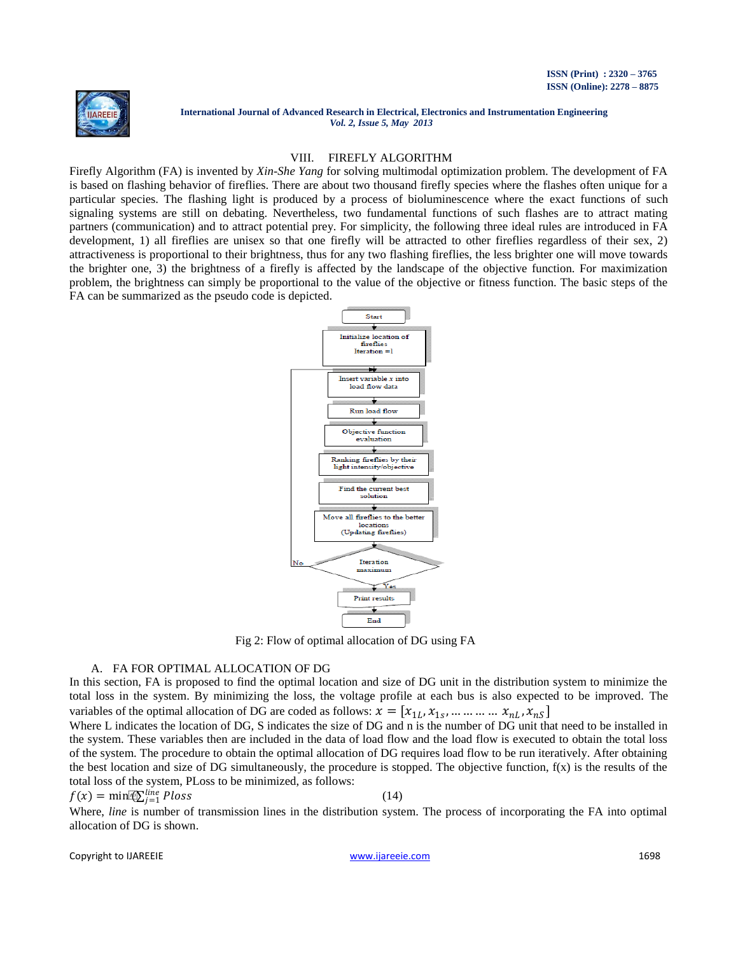

#### VIII. FIREFLY ALGORITHM

Firefly Algorithm (FA) is invented by *Xin-She Yang* for solving multimodal optimization problem. The development of FA is based on flashing behavior of fireflies. There are about two thousand firefly species where the flashes often unique for a particular species. The flashing light is produced by a process of bioluminescence where the exact functions of such signaling systems are still on debating. Nevertheless, two fundamental functions of such flashes are to attract mating partners (communication) and to attract potential prey. For simplicity, the following three ideal rules are introduced in FA development, 1) all fireflies are unisex so that one firefly will be attracted to other fireflies regardless of their sex, 2) attractiveness is proportional to their brightness, thus for any two flashing fireflies, the less brighter one will move towards the brighter one, 3) the brightness of a firefly is affected by the landscape of the objective function. For maximization problem, the brightness can simply be proportional to the value of the objective or fitness function. The basic steps of the FA can be summarized as the pseudo code is depicted.



Fig 2: Flow of optimal allocation of DG using FA

### A. FA FOR OPTIMAL ALLOCATION OF DG

In this section, FA is proposed to find the optimal location and size of DG unit in the distribution system to minimize the total loss in the system. By minimizing the loss, the voltage profile at each bus is also expected to be improved. The variables of the optimal allocation of DG are coded as follows:  $x = [x_{1L}, x_{1S}, ..., ..., x_{nL}, x_{nS}]$ 

Where L indicates the location of DG, S indicates the size of DG and n is the number of DG unit that need to be installed in the system. These variables then are included in the data of load flow and the load flow is executed to obtain the total loss of the system. The procedure to obtain the optimal allocation of DG requires load flow to be run iteratively. After obtaining the best location and size of DG simultaneously, the procedure is stopped. The objective function,  $f(x)$  is the results of the total loss of the system, PLoss to be minimized, as follows:

#### $f(x) = \min[\sum_{j=1}^{line} Ploss]$ (14)

Where, *line* is number of transmission lines in the distribution system. The process of incorporating the FA into optimal allocation of DG is shown.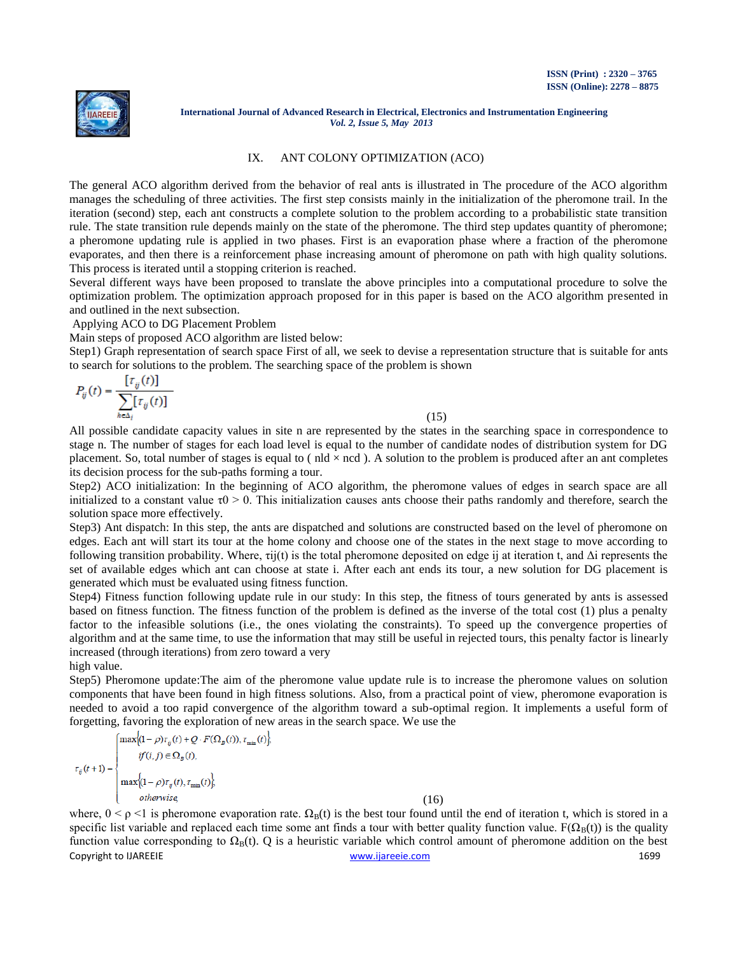

# IX. ANT COLONY OPTIMIZATION (ACO)

The general ACO algorithm derived from the behavior of real ants is illustrated in The procedure of the ACO algorithm manages the scheduling of three activities. The first step consists mainly in the initialization of the pheromone trail. In the iteration (second) step, each ant constructs a complete solution to the problem according to a probabilistic state transition rule. The state transition rule depends mainly on the state of the pheromone. The third step updates quantity of pheromone; a pheromone updating rule is applied in two phases. First is an evaporation phase where a fraction of the pheromone evaporates, and then there is a reinforcement phase increasing amount of pheromone on path with high quality solutions. This process is iterated until a stopping criterion is reached.

Several different ways have been proposed to translate the above principles into a computational procedure to solve the optimization problem. The optimization approach proposed for in this paper is based on the ACO algorithm presented in and outlined in the next subsection.

Applying ACO to DG Placement Problem

Main steps of proposed ACO algorithm are listed below:

Step1) Graph representation of search space First of all, we seek to devise a representation structure that is suitable for ants to search for solutions to the problem. The searching space of the problem is shown

$$
P_{ij}(t) = \frac{\left[\tau_{ij}(t)\right]}{\sum_{h \in \Delta_i} \left[\tau_{ij}(t)\right]}
$$

(15)

All possible candidate capacity values in site n are represented by the states in the searching space in correspondence to stage n. The number of stages for each load level is equal to the number of candidate nodes of distribution system for DG placement. So, total number of stages is equal to  $($  nld  $\times$  ncd). A solution to the problem is produced after an ant completes its decision process for the sub-paths forming a tour.

Step2) ACO initialization: In the beginning of ACO algorithm, the pheromone values of edges in search space are all initialized to a constant value  $\tau$ 0 > 0. This initialization causes ants choose their paths randomly and therefore, search the solution space more effectively.

Step3) Ant dispatch: In this step, the ants are dispatched and solutions are constructed based on the level of pheromone on edges. Each ant will start its tour at the home colony and choose one of the states in the next stage to move according to following transition probability. Where,  $\tau i j(t)$  is the total pheromone deposited on edge ij at iteration t, and  $\Delta i$  represents the set of available edges which ant can choose at state i. After each ant ends its tour, a new solution for DG placement is generated which must be evaluated using fitness function.

Step4) Fitness function following update rule in our study: In this step, the fitness of tours generated by ants is assessed based on fitness function. The fitness function of the problem is defined as the inverse of the total cost (1) plus a penalty factor to the infeasible solutions (i.e., the ones violating the constraints). To speed up the convergence properties of algorithm and at the same time, to use the information that may still be useful in rejected tours, this penalty factor is linearly increased (through iterations) from zero toward a very high value.

Step5) Pheromone update:The aim of the pheromone value update rule is to increase the pheromone values on solution components that have been found in high fitness solutions. Also, from a practical point of view, pheromone evaporation is needed to avoid a too rapid convergence of the algorithm toward a sub-optimal region. It implements a useful form of forgetting, favoring the exploration of new areas in the search space. We use the

$$
r_{ij}(t+1) = \begin{cases} \max\Bigl\{ (1-\rho)r_{ij}(t) + Q \cdot F(\Omega_B(t)), r_{\min}(t) \Bigr\} \\ \quad if (i, j) \in \Omega_B(t), \\ \max\Bigl\{ (1-\rho)r_{ij}(t), r_{\min}(t) \Bigr\} \\ \quad otherwise \end{cases}
$$
(16)

Copyright to IJAREEIE [www.ijareeie.com](http://www.ijareeie.com/) 1699 where,  $0 \le \rho \le 1$  is pheromone evaporation rate.  $\Omega_B(t)$  is the best tour found until the end of iteration t, which is stored in a specific list variable and replaced each time some ant finds a tour with better quality function value.  $F(\Omega_B(t))$  is the quality function value corresponding to  $\Omega_B(t)$ . Q is a heuristic variable which control amount of pheromone addition on the best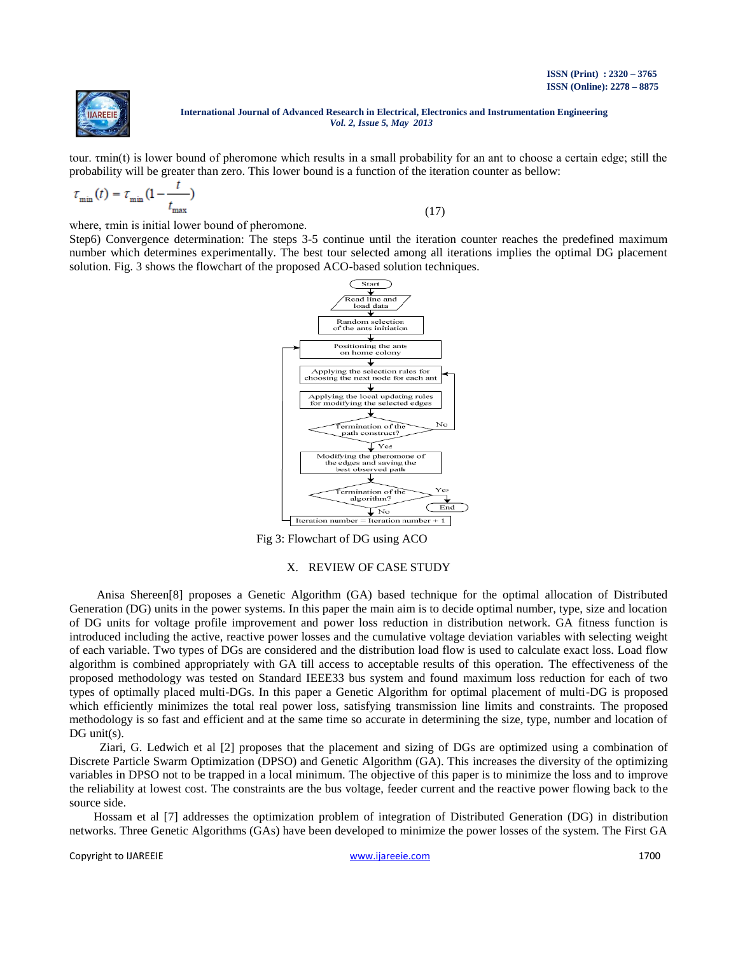

tour. τmin(t) is lower bound of pheromone which results in a small probability for an ant to choose a certain edge; still the probability will be greater than zero. This lower bound is a function of the iteration counter as bellow:

$$
\tau_{\min}(t) = \tau_{\min}\left(1 - \frac{t}{t_{\max}}\right) \tag{17}
$$

where, τmin is initial lower bound of pheromone.

Step6) Convergence determination: The steps 3-5 continue until the iteration counter reaches the predefined maximum number which determines experimentally. The best tour selected among all iterations implies the optimal DG placement solution. Fig. 3 shows the flowchart of the proposed ACO-based solution techniques.



Fig 3: Flowchart of DG using ACO

### X. REVIEW OF CASE STUDY

 Anisa Shereen[8] proposes a Genetic Algorithm (GA) based technique for the optimal allocation of Distributed Generation (DG) units in the power systems. In this paper the main aim is to decide optimal number, type, size and location of DG units for voltage profile improvement and power loss reduction in distribution network. GA fitness function is introduced including the active, reactive power losses and the cumulative voltage deviation variables with selecting weight of each variable. Two types of DGs are considered and the distribution load flow is used to calculate exact loss. Load flow algorithm is combined appropriately with GA till access to acceptable results of this operation. The effectiveness of the proposed methodology was tested on Standard IEEE33 bus system and found maximum loss reduction for each of two types of optimally placed multi-DGs. In this paper a Genetic Algorithm for optimal placement of multi-DG is proposed which efficiently minimizes the total real power loss, satisfying transmission line limits and constraints. The proposed methodology is so fast and efficient and at the same time so accurate in determining the size, type, number and location of  $DG$  unit(s).

 Ziari, G. Ledwich et al [2] proposes that the placement and sizing of DGs are optimized using a combination of Discrete Particle Swarm Optimization (DPSO) and Genetic Algorithm (GA). This increases the diversity of the optimizing variables in DPSO not to be trapped in a local minimum. The objective of this paper is to minimize the loss and to improve the reliability at lowest cost. The constraints are the bus voltage, feeder current and the reactive power flowing back to the source side.

 Hossam et al [7] addresses the optimization problem of integration of Distributed Generation (DG) in distribution networks. Three Genetic Algorithms (GAs) have been developed to minimize the power losses of the system. The First GA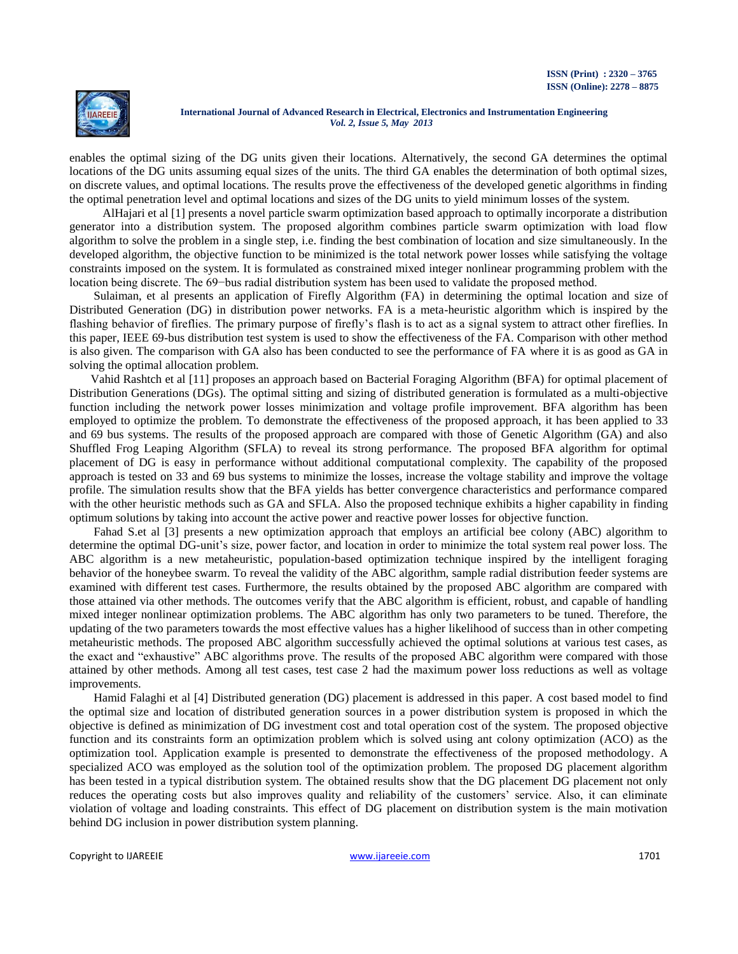

enables the optimal sizing of the DG units given their locations. Alternatively, the second GA determines the optimal locations of the DG units assuming equal sizes of the units. The third GA enables the determination of both optimal sizes, on discrete values, and optimal locations. The results prove the effectiveness of the developed genetic algorithms in finding the optimal penetration level and optimal locations and sizes of the DG units to yield minimum losses of the system.

 AlHajari et al [1] presents a novel particle swarm optimization based approach to optimally incorporate a distribution generator into a distribution system. The proposed algorithm combines particle swarm optimization with load flow algorithm to solve the problem in a single step, i.e. finding the best combination of location and size simultaneously. In the developed algorithm, the objective function to be minimized is the total network power losses while satisfying the voltage constraints imposed on the system. It is formulated as constrained mixed integer nonlinear programming problem with the location being discrete. The 69−bus radial distribution system has been used to validate the proposed method.

 Sulaiman, et al presents an application of Firefly Algorithm (FA) in determining the optimal location and size of Distributed Generation (DG) in distribution power networks. FA is a meta-heuristic algorithm which is inspired by the flashing behavior of fireflies. The primary purpose of firefly's flash is to act as a signal system to attract other fireflies. In this paper, IEEE 69-bus distribution test system is used to show the effectiveness of the FA. Comparison with other method is also given. The comparison with GA also has been conducted to see the performance of FA where it is as good as GA in solving the optimal allocation problem.

 Vahid Rashtch et al [11] proposes an approach based on Bacterial Foraging Algorithm (BFA) for optimal placement of Distribution Generations (DGs). The optimal sitting and sizing of distributed generation is formulated as a multi-objective function including the network power losses minimization and voltage profile improvement. BFA algorithm has been employed to optimize the problem. To demonstrate the effectiveness of the proposed approach, it has been applied to 33 and 69 bus systems. The results of the proposed approach are compared with those of Genetic Algorithm (GA) and also Shuffled Frog Leaping Algorithm (SFLA) to reveal its strong performance. The proposed BFA algorithm for optimal placement of DG is easy in performance without additional computational complexity. The capability of the proposed approach is tested on 33 and 69 bus systems to minimize the losses, increase the voltage stability and improve the voltage profile. The simulation results show that the BFA yields has better convergence characteristics and performance compared with the other heuristic methods such as GA and SFLA. Also the proposed technique exhibits a higher capability in finding optimum solutions by taking into account the active power and reactive power losses for objective function.

 Fahad S.et al [3] presents a new optimization approach that employs an artificial bee colony (ABC) algorithm to determine the optimal DG-unit's size, power factor, and location in order to minimize the total system real power loss. The ABC algorithm is a new metaheuristic, population-based optimization technique inspired by the intelligent foraging behavior of the honeybee swarm. To reveal the validity of the ABC algorithm, sample radial distribution feeder systems are examined with different test cases. Furthermore, the results obtained by the proposed ABC algorithm are compared with those attained via other methods. The outcomes verify that the ABC algorithm is efficient, robust, and capable of handling mixed integer nonlinear optimization problems. The ABC algorithm has only two parameters to be tuned. Therefore, the updating of the two parameters towards the most effective values has a higher likelihood of success than in other competing metaheuristic methods. The proposed ABC algorithm successfully achieved the optimal solutions at various test cases, as the exact and "exhaustive" ABC algorithms prove. The results of the proposed ABC algorithm were compared with those attained by other methods. Among all test cases, test case 2 had the maximum power loss reductions as well as voltage improvements.

 Hamid Falaghi et al [4] Distributed generation (DG) placement is addressed in this paper. A cost based model to find the optimal size and location of distributed generation sources in a power distribution system is proposed in which the objective is defined as minimization of DG investment cost and total operation cost of the system. The proposed objective function and its constraints form an optimization problem which is solved using ant colony optimization (ACO) as the optimization tool. Application example is presented to demonstrate the effectiveness of the proposed methodology. A specialized ACO was employed as the solution tool of the optimization problem. The proposed DG placement algorithm has been tested in a typical distribution system. The obtained results show that the DG placement DG placement not only reduces the operating costs but also improves quality and reliability of the customers' service. Also, it can eliminate violation of voltage and loading constraints. This effect of DG placement on distribution system is the main motivation behind DG inclusion in power distribution system planning.